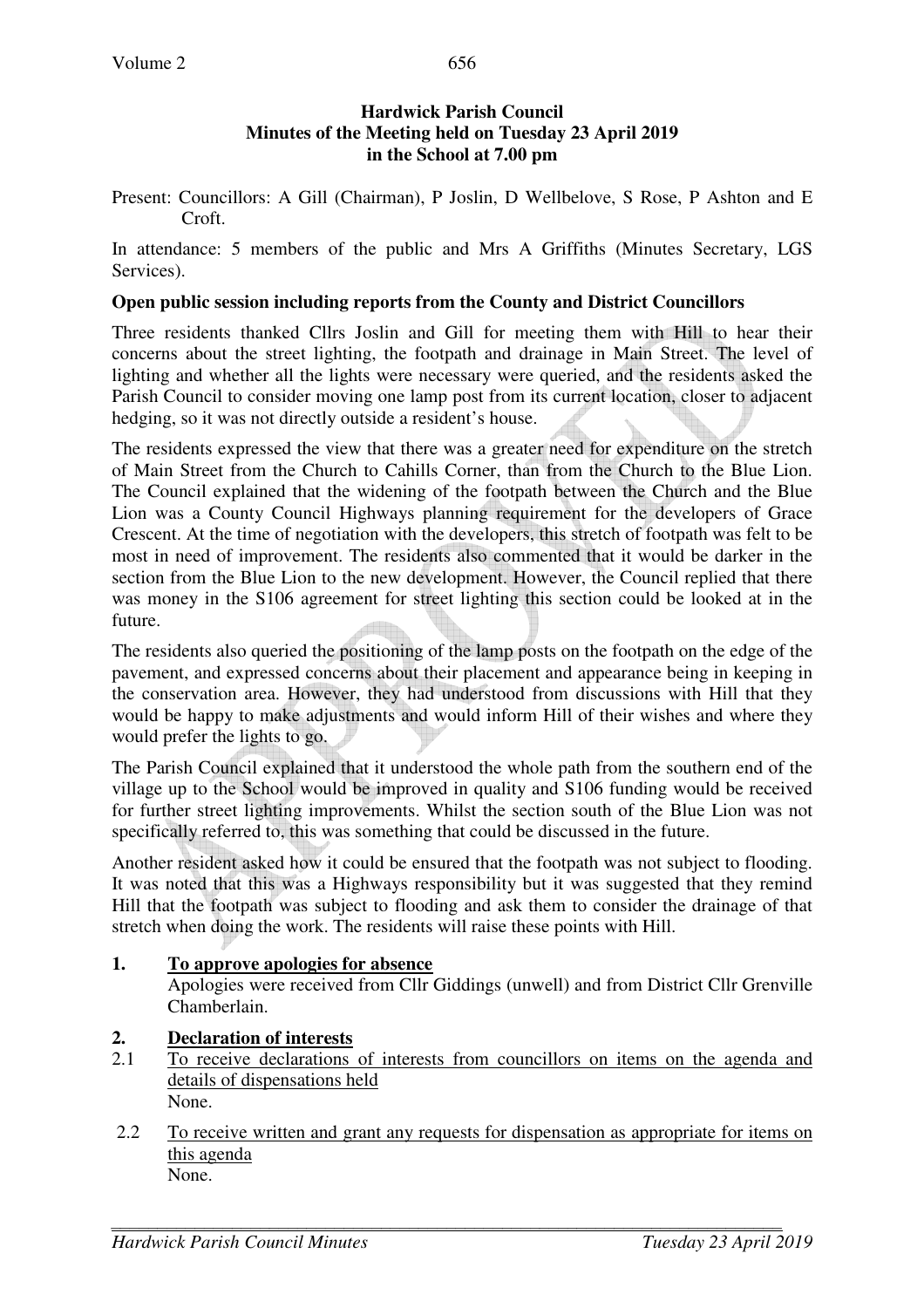Present: Councillors: A Gill (Chairman), P Joslin, D Wellbelove, S Rose, P Ashton and E Croft.

In attendance: 5 members of the public and Mrs A Griffiths (Minutes Secretary, LGS Services).

## **Open public session including reports from the County and District Councillors**

Three residents thanked Cllrs Joslin and Gill for meeting them with Hill to hear their concerns about the street lighting, the footpath and drainage in Main Street. The level of lighting and whether all the lights were necessary were queried, and the residents asked the Parish Council to consider moving one lamp post from its current location, closer to adjacent hedging, so it was not directly outside a resident's house.

The residents expressed the view that there was a greater need for expenditure on the stretch of Main Street from the Church to Cahills Corner, than from the Church to the Blue Lion. The Council explained that the widening of the footpath between the Church and the Blue Lion was a County Council Highways planning requirement for the developers of Grace Crescent. At the time of negotiation with the developers, this stretch of footpath was felt to be most in need of improvement. The residents also commented that it would be darker in the section from the Blue Lion to the new development. However, the Council replied that there was money in the S106 agreement for street lighting this section could be looked at in the future.

The residents also queried the positioning of the lamp posts on the footpath on the edge of the pavement, and expressed concerns about their placement and appearance being in keeping in the conservation area. However, they had understood from discussions with Hill that they would be happy to make adjustments and would inform Hill of their wishes and where they would prefer the lights to go.

The Parish Council explained that it understood the whole path from the southern end of the village up to the School would be improved in quality and S106 funding would be received for further street lighting improvements. Whilst the section south of the Blue Lion was not specifically referred to, this was something that could be discussed in the future.

Another resident asked how it could be ensured that the footpath was not subject to flooding. It was noted that this was a Highways responsibility but it was suggested that they remind Hill that the footpath was subject to flooding and ask them to consider the drainage of that stretch when doing the work. The residents will raise these points with Hill.

# **1. To approve apologies for absence**

Apologies were received from Cllr Giddings (unwell) and from District Cllr Grenville Chamberlain.

# **2. Declaration of interests**

- 2.1 To receive declarations of interests from councillors on items on the agenda and details of dispensations held None.
- 2.2 To receive written and grant any requests for dispensation as appropriate for items on this agenda None.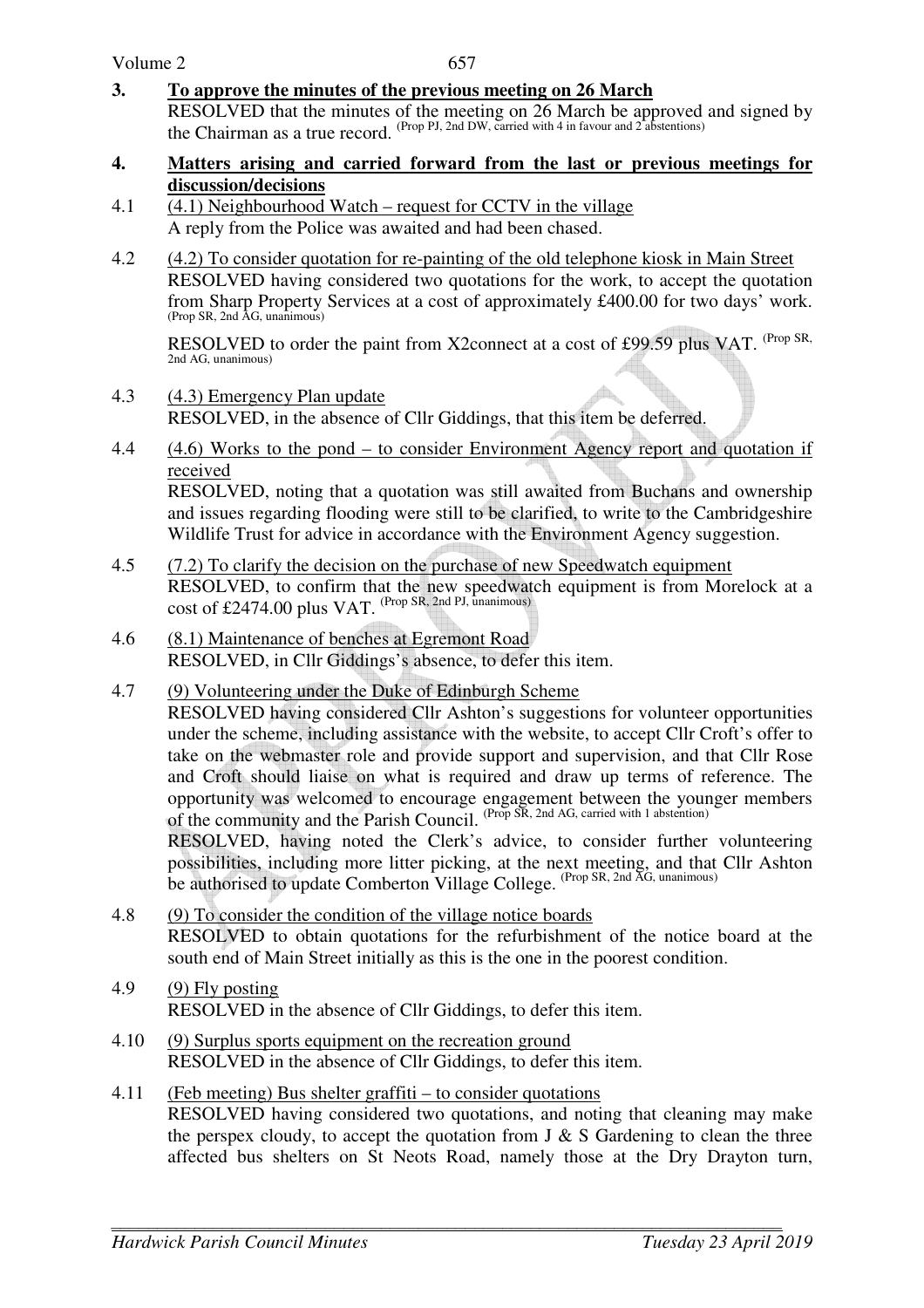**3. To approve the minutes of the previous meeting on 26 March** 

 RESOLVED that the minutes of the meeting on 26 March be approved and signed by the Chairman as a true record. (Prop PJ, 2nd DW, carried with 4 in favour and 2 abstentions)

- **4. Matters arising and carried forward from the last or previous meetings for discussion/decisions**
- 4.1 (4.1) Neighbourhood Watch request for CCTV in the village A reply from the Police was awaited and had been chased.
- 4.2 (4.2) To consider quotation for re-painting of the old telephone kiosk in Main Street RESOLVED having considered two quotations for the work, to accept the quotation from Sharp Property Services at a cost of approximately £400.00 for two days' work. (Prop SR, 2nd AG, unanimous)

RESOLVED to order the paint from X2connect at a cost of £99.59 plus VAT. <sup>(Prop SR,</sup> 2nd AG, unanimous)

- 4.3 (4.3) Emergency Plan update RESOLVED, in the absence of Cllr Giddings, that this item be deferred.
- 4.4 (4.6) Works to the pond to consider Environment Agency report and quotation if received

RESOLVED, noting that a quotation was still awaited from Buchans and ownership and issues regarding flooding were still to be clarified, to write to the Cambridgeshire Wildlife Trust for advice in accordance with the Environment Agency suggestion.

- 4.5 (7.2) To clarify the decision on the purchase of new Speedwatch equipment RESOLVED, to confirm that the new speedwatch equipment is from Morelock at a cost of £2474.00 plus VAT. (Prop SR, 2nd PJ, unanimous)
- 4.6 (8.1) Maintenance of benches at Egremont Road RESOLVED, in Cllr Giddings's absence, to defer this item.
- 4.7 (9) Volunteering under the Duke of Edinburgh Scheme RESOLVED having considered Cllr Ashton's suggestions for volunteer opportunities under the scheme, including assistance with the website, to accept Cllr Croft's offer to take on the webmaster role and provide support and supervision, and that Cllr Rose and Croft should liaise on what is required and draw up terms of reference. The opportunity was welcomed to encourage engagement between the younger members of the community and the Parish Council. (Prop SR, 2nd AG, carried with 1 abstention) RESOLVED, having noted the Clerk's advice, to consider further volunteering

possibilities, including more litter picking, at the next meeting, and that Cllr Ashton be authorised to update Comberton Village College. (Prop SR, 2nd AG, unanimous)

- 4.8 (9) To consider the condition of the village notice boards RESOLVED to obtain quotations for the refurbishment of the notice board at the south end of Main Street initially as this is the one in the poorest condition.
- 4.9 (9) Fly posting RESOLVED in the absence of Cllr Giddings, to defer this item.
- 4.10 (9) Surplus sports equipment on the recreation ground RESOLVED in the absence of Cllr Giddings, to defer this item.
- 4.11 (Feb meeting) Bus shelter graffiti to consider quotations RESOLVED having considered two quotations, and noting that cleaning may make the perspex cloudy, to accept the quotation from  $J \& S$  Gardening to clean the three affected bus shelters on St Neots Road, namely those at the Dry Drayton turn,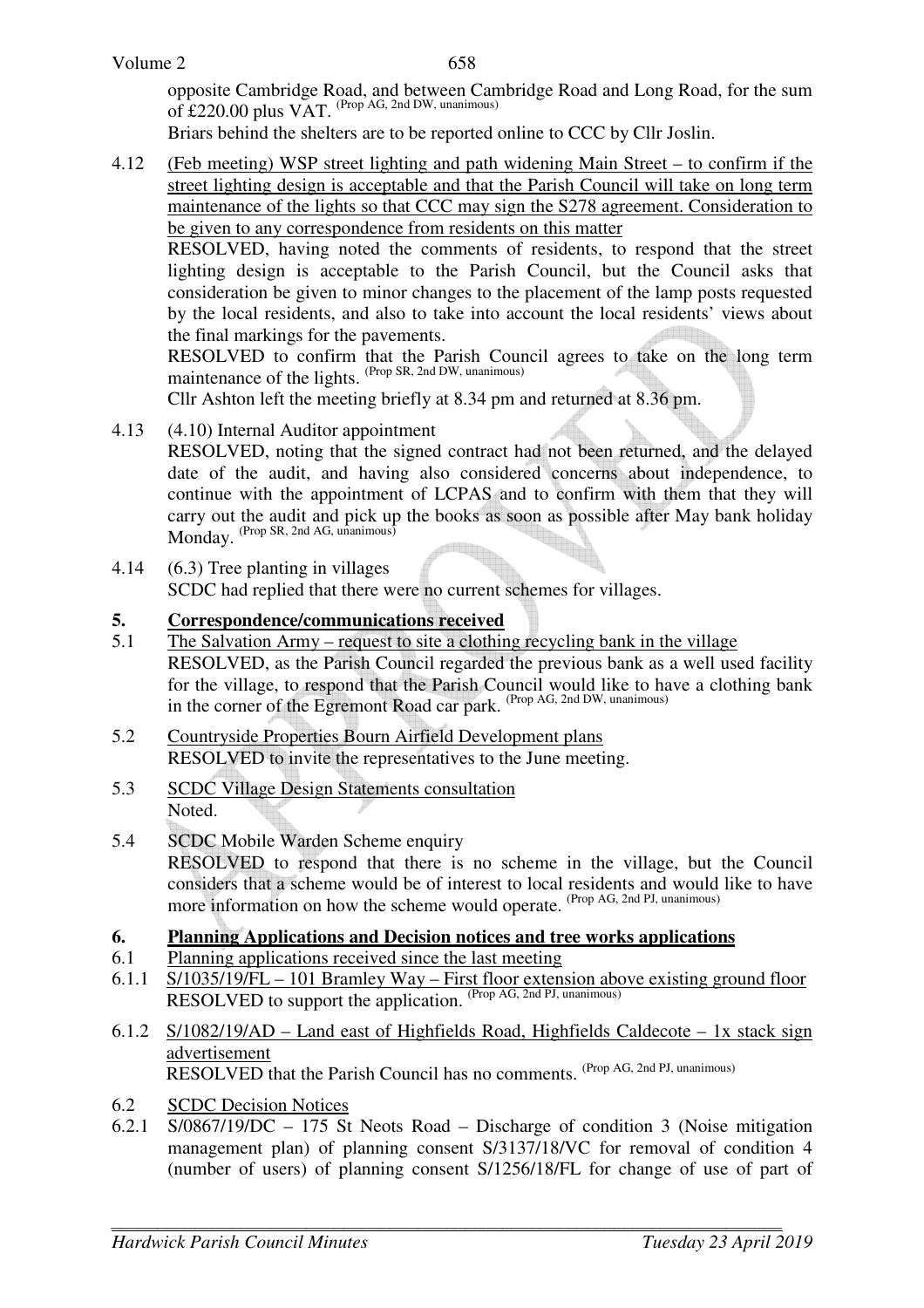opposite Cambridge Road, and between Cambridge Road and Long Road, for the sum of £220.00 plus VAT. (Prop AG, 2nd DW, unanimous)

Briars behind the shelters are to be reported online to CCC by Cllr Joslin.

4.12 (Feb meeting) WSP street lighting and path widening Main Street – to confirm if the street lighting design is acceptable and that the Parish Council will take on long term maintenance of the lights so that CCC may sign the S278 agreement. Consideration to be given to any correspondence from residents on this matter

RESOLVED, having noted the comments of residents, to respond that the street lighting design is acceptable to the Parish Council, but the Council asks that consideration be given to minor changes to the placement of the lamp posts requested by the local residents, and also to take into account the local residents' views about the final markings for the pavements.

RESOLVED to confirm that the Parish Council agrees to take on the long term maintenance of the lights. (Prop SR, 2nd DW, unanimous)

Cllr Ashton left the meeting briefly at 8.34 pm and returned at 8.36 pm.

4.13 (4.10) Internal Auditor appointment

RESOLVED, noting that the signed contract had not been returned, and the delayed date of the audit, and having also considered concerns about independence, to continue with the appointment of LCPAS and to confirm with them that they will carry out the audit and pick up the books as soon as possible after May bank holiday Monday. (Prop SR, 2nd AG, unanimous)

4.14 (6.3) Tree planting in villages SCDC had replied that there were no current schemes for villages.

### **5. Correspondence/communications received**

- 5.1 The Salvation Army request to site a clothing recycling bank in the village RESOLVED, as the Parish Council regarded the previous bank as a well used facility for the village, to respond that the Parish Council would like to have a clothing bank in the corner of the Egremont Road car park. (Prop AG, 2nd DW, unanimous)
- 5.2 Countryside Properties Bourn Airfield Development plans RESOLVED to invite the representatives to the June meeting.
- 5.3 SCDC Village Design Statements consultation Noted.
- 5.4 SCDC Mobile Warden Scheme enquiry RESOLVED to respond that there is no scheme in the village, but the Council considers that a scheme would be of interest to local residents and would like to have more information on how the scheme would operate. (Prop AG, 2nd PJ, unanimous)

### **6. Planning Applications and Decision notices and tree works applications**

- 6.1 Planning applications received since the last meeting
- 6.1.1 S/1035/19/FL 101 Bramley Way First floor extension above existing ground floor RESOLVED to support the application. (Prop AG, 2nd PJ, unanimous)
- 6.1.2 S/1082/19/AD Land east of Highfields Road, Highfields Caldecote 1x stack sign advertisement RESOLVED that the Parish Council has no comments. (Prop AG, 2nd PJ, unanimous)
- 6.2 SCDC Decision Notices
- 6.2.1 S/0867/19/DC 175 St Neots Road Discharge of condition 3 (Noise mitigation management plan) of planning consent S/3137/18/VC for removal of condition 4 (number of users) of planning consent S/1256/18/FL for change of use of part of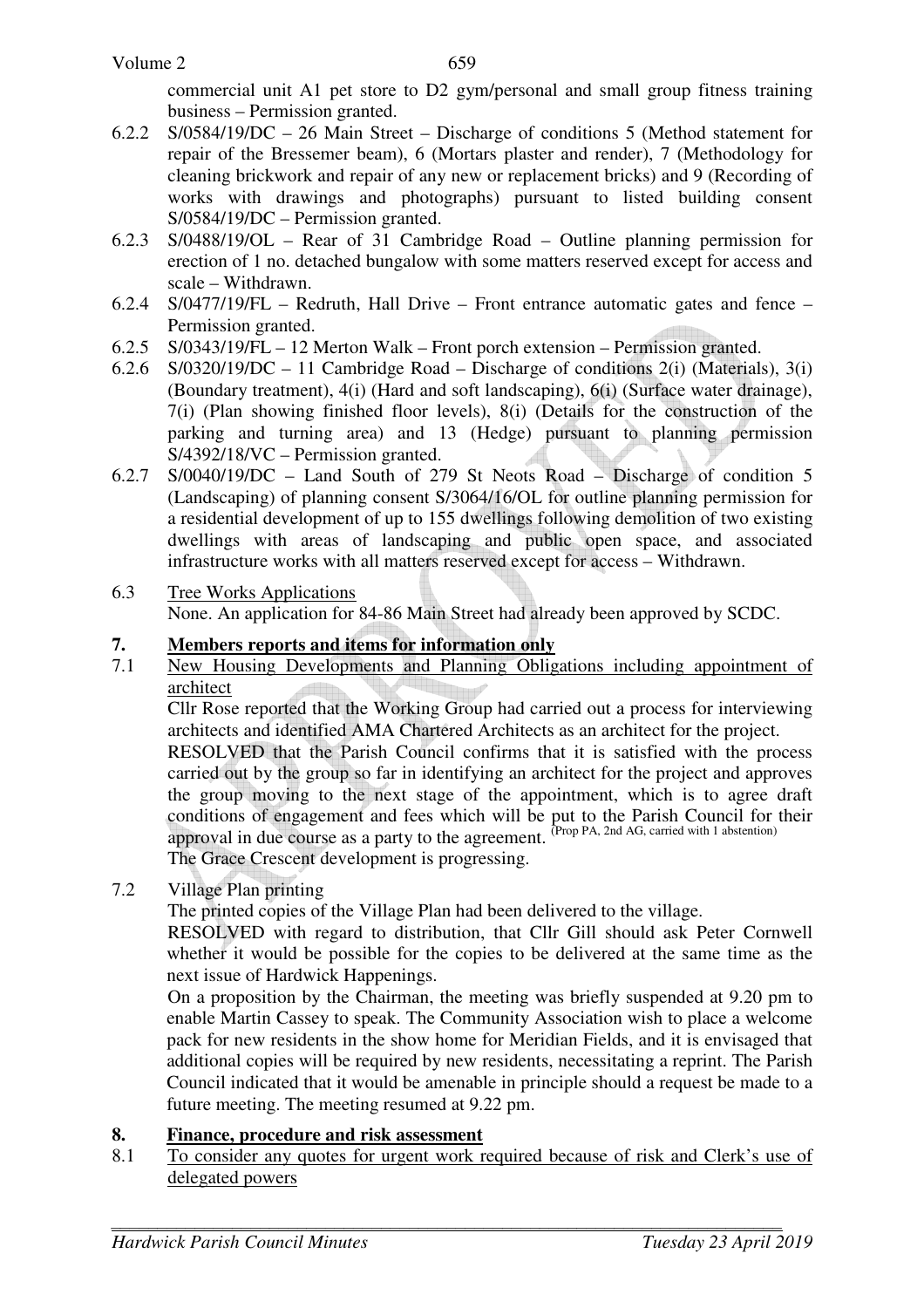commercial unit A1 pet store to D2 gym/personal and small group fitness training business – Permission granted.

- 6.2.2 S/0584/19/DC 26 Main Street Discharge of conditions 5 (Method statement for repair of the Bressemer beam), 6 (Mortars plaster and render), 7 (Methodology for cleaning brickwork and repair of any new or replacement bricks) and 9 (Recording of works with drawings and photographs) pursuant to listed building consent S/0584/19/DC – Permission granted.
- 6.2.3 S/0488/19/OL Rear of 31 Cambridge Road Outline planning permission for erection of 1 no. detached bungalow with some matters reserved except for access and scale – Withdrawn.
- 6.2.4 S/0477/19/FL Redruth, Hall Drive Front entrance automatic gates and fence Permission granted.
- 6.2.5 S/0343/19/FL 12 Merton Walk Front porch extension Permission granted.
- 6.2.6 S/0320/19/DC 11 Cambridge Road Discharge of conditions 2(i) (Materials), 3(i) (Boundary treatment), 4(i) (Hard and soft landscaping), 6(i) (Surface water drainage), 7(i) (Plan showing finished floor levels), 8(i) (Details for the construction of the parking and turning area) and 13 (Hedge) pursuant to planning permission S/4392/18/VC – Permission granted.
- 6.2.7 S/0040/19/DC Land South of 279 St Neots Road Discharge of condition 5 (Landscaping) of planning consent S/3064/16/OL for outline planning permission for a residential development of up to 155 dwellings following demolition of two existing dwellings with areas of landscaping and public open space, and associated infrastructure works with all matters reserved except for access – Withdrawn.
- 6.3 Tree Works Applications None. An application for 84-86 Main Street had already been approved by SCDC.

## **7. Members reports and items for information only**

7.1 New Housing Developments and Planning Obligations including appointment of architect

Cllr Rose reported that the Working Group had carried out a process for interviewing architects and identified AMA Chartered Architects as an architect for the project.

RESOLVED that the Parish Council confirms that it is satisfied with the process carried out by the group so far in identifying an architect for the project and approves the group moving to the next stage of the appointment, which is to agree draft conditions of engagement and fees which will be put to the Parish Council for their approval in due course as a party to the agreement. <sup>(Prop PA, 2nd AG, carried with 1 abstention)</sup> The Grace Crescent development is progressing.

## 7.2 Village Plan printing

The printed copies of the Village Plan had been delivered to the village.

RESOLVED with regard to distribution, that Cllr Gill should ask Peter Cornwell whether it would be possible for the copies to be delivered at the same time as the next issue of Hardwick Happenings.

On a proposition by the Chairman, the meeting was briefly suspended at 9.20 pm to enable Martin Cassey to speak. The Community Association wish to place a welcome pack for new residents in the show home for Meridian Fields, and it is envisaged that additional copies will be required by new residents, necessitating a reprint. The Parish Council indicated that it would be amenable in principle should a request be made to a future meeting. The meeting resumed at 9.22 pm.

### **8. Finance, procedure and risk assessment**

8.1 To consider any quotes for urgent work required because of risk and Clerk's use of delegated powers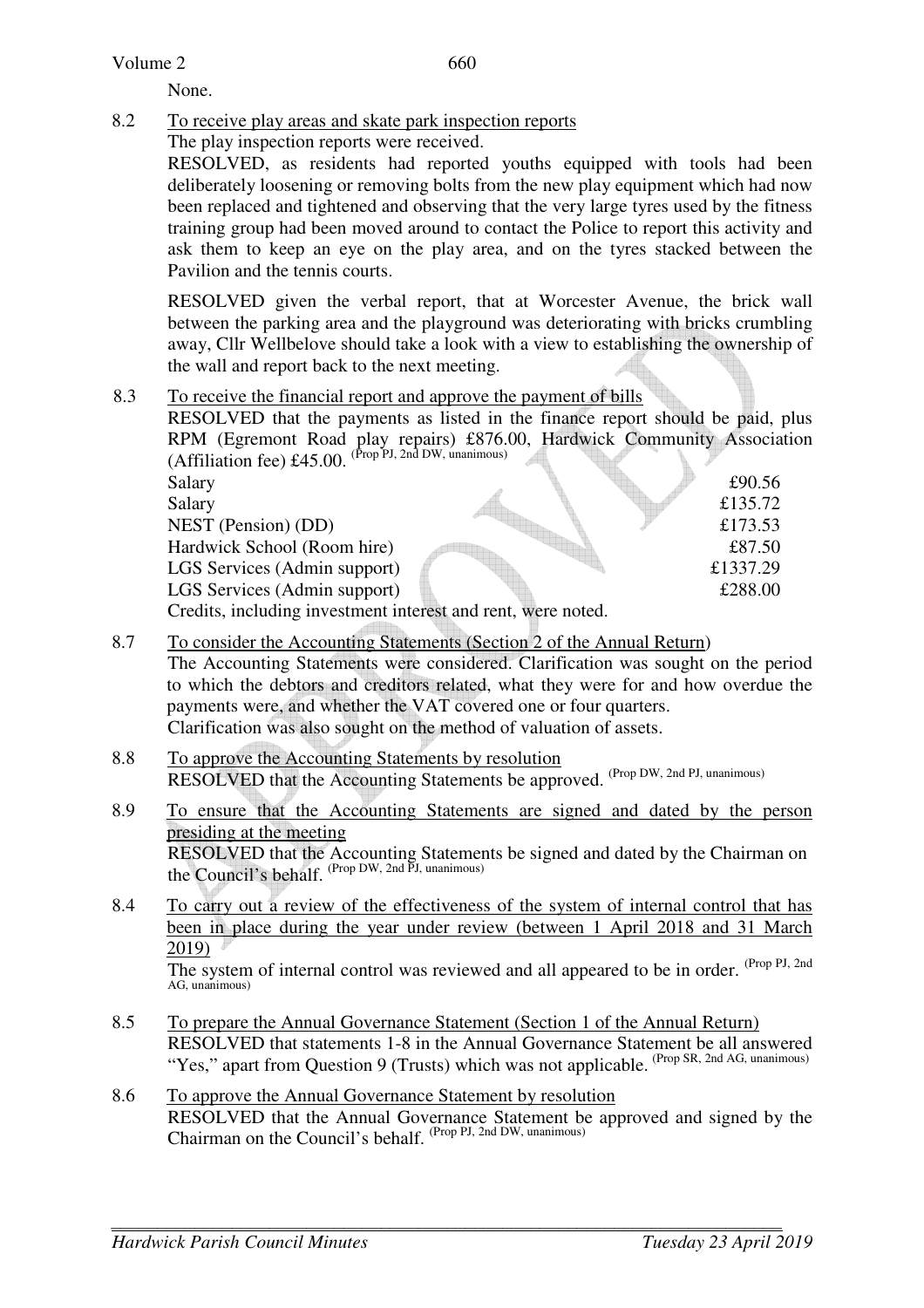#### Volume 2

None.

8.2 To receive play areas and skate park inspection reports

The play inspection reports were received.

RESOLVED, as residents had reported youths equipped with tools had been deliberately loosening or removing bolts from the new play equipment which had now been replaced and tightened and observing that the very large tyres used by the fitness training group had been moved around to contact the Police to report this activity and ask them to keep an eye on the play area, and on the tyres stacked between the Pavilion and the tennis courts.

RESOLVED given the verbal report, that at Worcester Avenue, the brick wall between the parking area and the playground was deteriorating with bricks crumbling away, Cllr Wellbelove should take a look with a view to establishing the ownership of the wall and report back to the next meeting.

#### 8.3 To receive the financial report and approve the payment of bills

RESOLVED that the payments as listed in the finance report should be paid, plus RPM (Egremont Road play repairs) £876.00, Hardwick Community Association (Affiliation fee)  $£45.00$ . (Prop PJ, 2nd DW, unanimous)

| Salary                                                       |  | £90.56   |
|--------------------------------------------------------------|--|----------|
| Salary                                                       |  | £135.72  |
| NEST (Pension) (DD)                                          |  | £173.53  |
| Hardwick School (Room hire)                                  |  | £87.50   |
| LGS Services (Admin support)                                 |  | £1337.29 |
| LGS Services (Admin support)                                 |  | £288.00  |
| Credits, including investment interest and rent, were noted. |  |          |
|                                                              |  |          |

8.7 To consider the Accounting Statements (Section 2 of the Annual Return)

The Accounting Statements were considered. Clarification was sought on the period to which the debtors and creditors related, what they were for and how overdue the payments were, and whether the VAT covered one or four quarters. Clarification was also sought on the method of valuation of assets.

- 8.8 To approve the Accounting Statements by resolution RESOLVED that the Accounting Statements be approved. (Prop DW, 2nd PJ, unanimous)
- 8.9 To ensure that the Accounting Statements are signed and dated by the person presiding at the meeting RESOLVED that the Accounting Statements be signed and dated by the Chairman on the Council's behalf. (Prop DW, 2nd PJ, unanimous)
- 8.4 To carry out a review of the effectiveness of the system of internal control that has been in place during the year under review (between 1 April 2018 and 31 March 2019)

The system of internal control was reviewed and all appeared to be in order. (Prop PJ, 2nd AG, unanimous)

- 8.5 To prepare the Annual Governance Statement (Section 1 of the Annual Return) RESOLVED that statements 1-8 in the Annual Governance Statement be all answered "Yes," apart from Question 9 (Trusts) which was not applicable. (Prop SR, 2nd AG, unanimous)
- 8.6 To approve the Annual Governance Statement by resolution RESOLVED that the Annual Governance Statement be approved and signed by the Chairman on the Council's behalf. (Prop PJ, 2nd DW, unanimous)